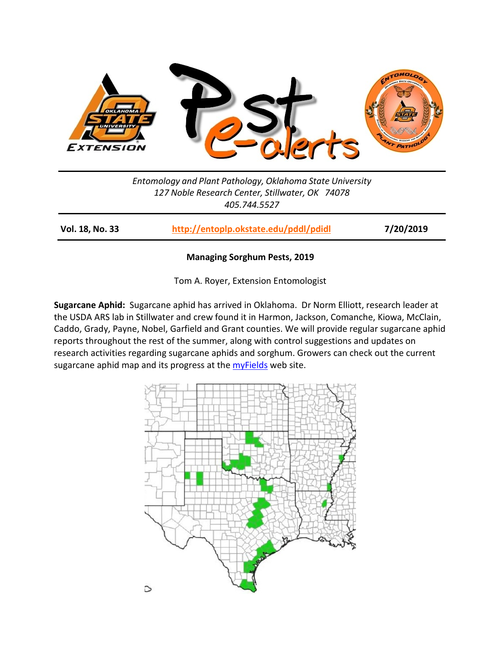

*Entomology and Plant Pathology, Oklahoma State University 127 Noble Research Center, Stillwater, OK 74078 405.744.5527*

**Vol. 18, No. 33 <http://entoplp.okstate.edu/pddl/pdidl> 7/20/2019**

## **Managing Sorghum Pests, 2019**

Tom A. Royer, Extension Entomologist

**Sugarcane Aphid:** Sugarcane aphid has arrived in Oklahoma. Dr Norm Elliott, research leader at the USDA ARS lab in Stillwater and crew found it in Harmon, Jackson, Comanche, Kiowa, McClain, Caddo, Grady, Payne, Nobel, Garfield and Grant counties. We will provide regular sugarcane aphid reports throughout the rest of the summer, along with control suggestions and updates on research activities regarding sugarcane aphids and sorghum. Growers can check out the current sugarcane aphid map and its progress at the *myFields* web site.

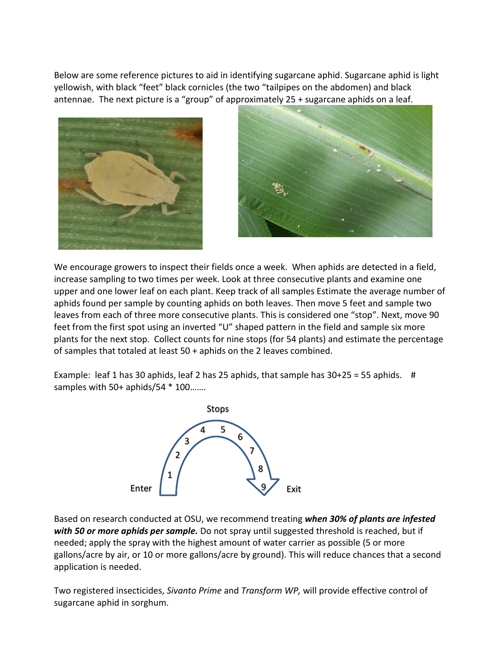Below are some reference pictures to aid in identifying sugarcane aphid. Sugarcane aphid is light yellowish, with black "feet" black cornicles (the two "tailpipes on the abdomen) and black antennae. The next picture is a "group" of approximately 25 + sugarcane aphids on a leaf.





We encourage growers to inspect their fields once a week. When aphids are detected in a field, increase sampling to two times per week. Look at three consecutive plants and examine one upper and one lower leaf on each plant. Keep track of all samples Estimate the average number of aphids found per sample by counting aphids on both leaves. Then move 5 feet and sample two leaves from each of three more consecutive plants. This is considered one "stop". Next, move 90 feet from the first spot using an inverted "U" shaped pattern in the field and sample six more plants for the next stop. Collect counts for nine stops (for 54 plants) and estimate the percentage of samples that totaled at least 50 + aphids on the 2 leaves combined.

Example: leaf 1 has 30 aphids, leaf 2 has 25 aphids, that sample has  $30+25 = 55$  aphids. # samples with 50+ aphids/54  $*$  100 ......



Based on research conducted at OSU, we recommend treating *when 30% of plants are infested with 50 or more aphids per sample.* Do not spray until suggested threshold is reached, but if needed; apply the spray with the highest amount of water carrier as possible (5 or more gallons/acre by air, or 10 or more gallons/acre by ground). This will reduce chances that a second application is needed.

Two registered insecticides, *Sivanto Prime* and *Transform WP,* will provide effective control of sugarcane aphid in sorghum.